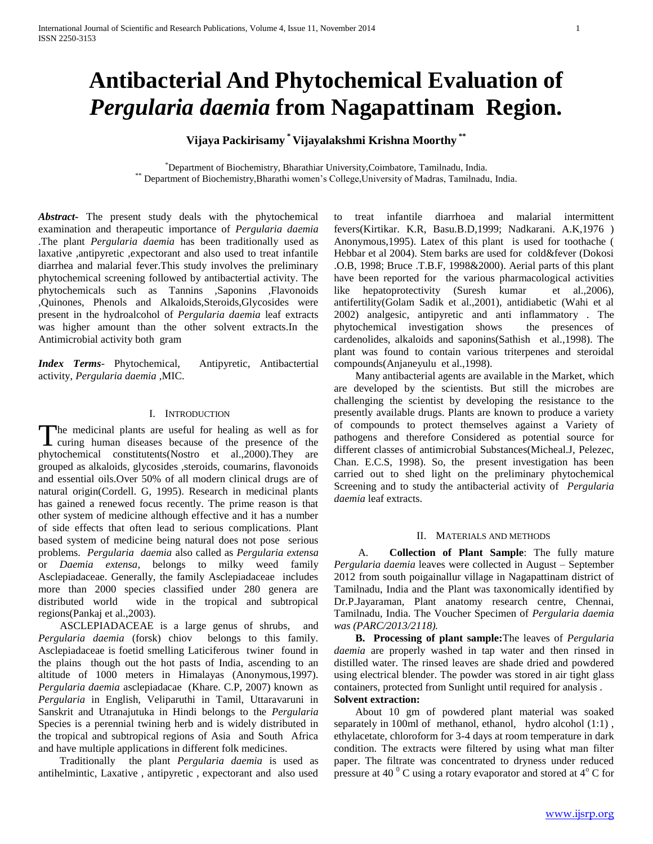# **Antibacterial And Phytochemical Evaluation of**  *Pergularia daemia* **from Nagapattinam Region.**

# **Vijaya Packirisamy \* Vijayalakshmi Krishna Moorthy \*\***

\*Department of Biochemistry, Bharathiar University,Coimbatore, Tamilnadu, India. \*\* Department of Biochemistry,Bharathi women's College,University of Madras, Tamilnadu, India.

*Abstract***-** The present study deals with the phytochemical examination and therapeutic importance of *Pergularia daemia* .The plant *Pergularia daemia* has been traditionally used as laxative ,antipyretic ,expectorant and also used to treat infantile diarrhea and malarial fever.This study involves the preliminary phytochemical screening followed by antibactertial activity. The phytochemicals such as Tannins ,Saponins ,Flavonoids ,Quinones, Phenols and Alkaloids,Steroids,Glycosides were present in the hydroalcohol of *Pergularia daemia* leaf extracts was higher amount than the other solvent extracts.In the Antimicrobial activity both gram

*Index Terms*- Phytochemical, Antipyretic, Antibactertial activity, *Pergularia daemia* ,MIC.

#### I. INTRODUCTION

The medicinal plants are useful for healing as well as for The medicinal plants are useful for healing as well as for<br>curing human diseases because of the presence of the phytochemical constitutents(Nostro et al.,2000).They are grouped as alkaloids, glycosides ,steroids, coumarins, flavonoids and essential oils.Over 50% of all modern clinical drugs are of natural origin(Cordell. G, 1995). Research in medicinal plants has gained a renewed focus recently. The prime reason is that other system of medicine although effective and it has a number of side effects that often lead to serious complications. Plant based system of medicine being natural does not pose serious problems. *Pergularia daemia* also called as *Pergularia extensa* or *Daemia extensa*, belongs to milky weed family Asclepiadaceae. Generally, the family Asclepiadaceae includes more than 2000 species classified under 280 genera are distributed world wide in the tropical and subtropical regions(Pankaj et al.,2003).

 ASCLEPIADACEAE is a large genus of shrubs, and *Pergularia daemia* (forsk) chiov belongs to this family. Asclepiadaceae is foetid smelling Laticiferous twiner found in the plains though out the hot pasts of India, ascending to an altitude of 1000 meters in Himalayas (Anonymous,1997). *Pergularia daemia* asclepiadacae (Khare. C.P, 2007) known as *Pergularia* in English, Veliparuthi in Tamil, Uttaravaruni in Sanskrit and Utranajutuka in Hindi belongs to the *Pergularia* Species is a perennial twining herb and is widely distributed in the tropical and subtropical regions of Asia and South Africa and have multiple applications in different folk medicines.

 Traditionally the plant *Pergularia daemia* is used as antihelmintic, Laxative , antipyretic , expectorant and also used to treat infantile diarrhoea and malarial intermittent fevers(Kirtikar. K.R, Basu.B.D,1999; Nadkarani. A.K,1976 ) Anonymous,1995). Latex of this plant is used for toothache ( Hebbar et al 2004). Stem barks are used for cold&fever (Dokosi .O.B, 1998; Bruce .T.B.F, 1998&2000). Aerial parts of this plant have been reported for the various pharmacological activities like hepatoprotectivity (Suresh kumar et al.,2006), antifertility(Golam Sadik et al.,2001), antidiabetic (Wahi et al 2002) analgesic, antipyretic and anti inflammatory . The phytochemical investigation shows the presences of cardenolides, alkaloids and saponins(Sathish et al.,1998). The plant was found to contain various triterpenes and steroidal compounds(Anjaneyulu et al.,1998).

 Many antibacterial agents are available in the Market, which are developed by the scientists. But still the microbes are challenging the scientist by developing the resistance to the presently available drugs. Plants are known to produce a variety of compounds to protect themselves against a Variety of pathogens and therefore Considered as potential source for different classes of antimicrobial Substances(Micheal.J, Pelezec, Chan. E.C.S, 1998). So, the present investigation has been carried out to shed light on the preliminary phytochemical Screening and to study the antibacterial activity of *Pergularia daemia* leaf extracts.

#### II. MATERIALS AND METHODS

 A. **Collection of Plant Sample**: The fully mature *Pergularia daemia* leaves were collected in August – September 2012 from south poigainallur village in Nagapattinam district of Tamilnadu, India and the Plant was taxonomically identified by Dr.P.Jayaraman, Plant anatomy research centre, Chennai, Tamilnadu, India. The Voucher Specimen of *Pergularia daemia was (PARC/2013/2118).*

 **B. Processing of plant sample:**The leaves of *Pergularia daemia* are properly washed in tap water and then rinsed in distilled water. The rinsed leaves are shade dried and powdered using electrical blender. The powder was stored in air tight glass containers, protected from Sunlight until required for analysis . **Solvent extraction:**

 About 10 gm of powdered plant material was soaked separately in 100ml of methanol, ethanol, hydro alcohol (1:1), ethylacetate, chloroform for 3-4 days at room temperature in dark condition. The extracts were filtered by using what man filter paper. The filtrate was concentrated to dryness under reduced pressure at 40 $\degree$ C using a rotary evaporator and stored at 4 $\degree$ C for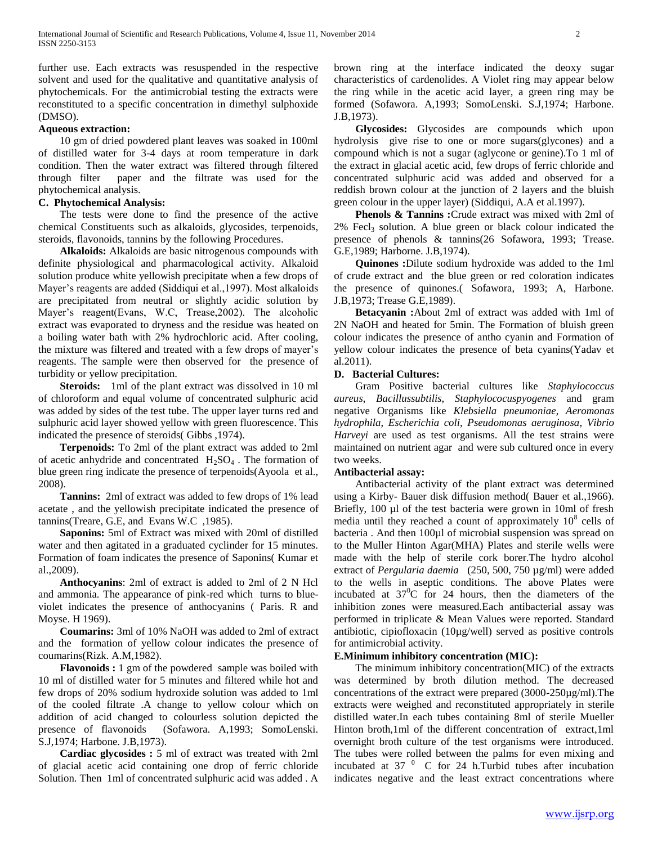further use. Each extracts was resuspended in the respective solvent and used for the qualitative and quantitative analysis of phytochemicals. For the antimicrobial testing the extracts were reconstituted to a specific concentration in dimethyl sulphoxide (DMSO).

#### **Aqueous extraction:**

 10 gm of dried powdered plant leaves was soaked in 100ml of distilled water for 3-4 days at room temperature in dark condition. Then the water extract was filtered through filtered through filter paper and the filtrate was used for the phytochemical analysis.

## **C. Phytochemical Analysis:**

 The tests were done to find the presence of the active chemical Constituents such as alkaloids, glycosides, terpenoids, steroids, flavonoids, tannins by the following Procedures.

 **Alkaloids:** Alkaloids are basic nitrogenous compounds with definite physiological and pharmacological activity. Alkaloid solution produce white yellowish precipitate when a few drops of Mayer's reagents are added (Siddiqui et al.,1997). Most alkaloids are precipitated from neutral or slightly acidic solution by Mayer's reagent(Evans, W.C, Trease,2002). The alcoholic extract was evaporated to dryness and the residue was heated on a boiling water bath with 2% hydrochloric acid. After cooling, the mixture was filtered and treated with a few drops of mayer's reagents. The sample were then observed for the presence of turbidity or yellow precipitation.

 **Steroids:** 1ml of the plant extract was dissolved in 10 ml of chloroform and equal volume of concentrated sulphuric acid was added by sides of the test tube. The upper layer turns red and sulphuric acid layer showed yellow with green fluorescence. This indicated the presence of steroids( Gibbs ,1974).

 **Terpenoids:** To 2ml of the plant extract was added to 2ml of acetic anhydride and concentrated  $H_2SO_4$ . The formation of blue green ring indicate the presence of terpenoids(Ayoola et al., 2008).

 **Tannins:** 2ml of extract was added to few drops of 1% lead acetate , and the yellowish precipitate indicated the presence of tannins(Treare, G.E, and Evans W.C ,1985).

 **Saponins:** 5ml of Extract was mixed with 20ml of distilled water and then agitated in a graduated cyclinder for 15 minutes. Formation of foam indicates the presence of Saponins( Kumar et al.,2009).

 **Anthocyanins**: 2ml of extract is added to 2ml of 2 N Hcl and ammonia. The appearance of pink-red which turns to blueviolet indicates the presence of anthocyanins ( Paris. R and Moyse. H 1969).

 **Coumarins:** 3ml of 10% NaOH was added to 2ml of extract and the formation of yellow colour indicates the presence of coumarins(Rizk. A.M,1982).

 **Flavonoids :** 1 gm of the powdered sample was boiled with 10 ml of distilled water for 5 minutes and filtered while hot and few drops of 20% sodium hydroxide solution was added to 1ml of the cooled filtrate .A change to yellow colour which on addition of acid changed to colourless solution depicted the presence of flavonoids (Sofawora. A,1993; SomoLenski. S.J,1974; Harbone. J.B,1973).

 **Cardiac glycosides :** 5 ml of extract was treated with 2ml of glacial acetic acid containing one drop of ferric chloride Solution. Then 1ml of concentrated sulphuric acid was added . A

brown ring at the interface indicated the deoxy sugar characteristics of cardenolides. A Violet ring may appear below the ring while in the acetic acid layer, a green ring may be formed (Sofawora. A,1993; SomoLenski. S.J,1974; Harbone. J.B,1973).

 **Glycosides:** Glycosides are compounds which upon hydrolysis give rise to one or more sugars(glycones) and a compound which is not a sugar (aglycone or genine).To 1 ml of the extract in glacial acetic acid, few drops of ferric chloride and concentrated sulphuric acid was added and observed for a reddish brown colour at the junction of 2 layers and the bluish green colour in the upper layer) (Siddiqui, A.A et al.1997).

 **Phenols & Tannins :**Crude extract was mixed with 2ml of  $2\%$  Fecl<sub>3</sub> solution. A blue green or black colour indicated the presence of phenols & tannins(26 Sofawora, 1993; Trease. G.E,1989; Harborne. J.B,1974).

 **Quinones :**Dilute sodium hydroxide was added to the 1ml of crude extract and the blue green or red coloration indicates the presence of quinones.( Sofawora, 1993; A, Harbone. J.B,1973; Trease G.E,1989).

 **Betacyanin :**About 2ml of extract was added with 1ml of 2N NaOH and heated for 5min. The Formation of bluish green colour indicates the presence of antho cyanin and Formation of yellow colour indicates the presence of beta cyanins(Yadav et al.2011).

#### **D. Bacterial Cultures:**

 Gram Positive bacterial cultures like *Staphylococcus aureus*, *Bacillussubtilis*, *Staphylococuspyogenes* and gram negative Organisms like *Klebsiella pneumoniae*, *Aeromonas hydrophila*, *Escherichia coli, Pseudomonas aeruginosa*, *Vibrio Harveyi* are used as test organisms. All the test strains were maintained on nutrient agar and were sub cultured once in every two weeks.

#### **Antibacterial assay:**

 Antibacterial activity of the plant extract was determined using a Kirby- Bauer disk diffusion method( Bauer et al.,1966). Briefly, 100 µl of the test bacteria were grown in 10ml of fresh media until they reached a count of approximately  $10^8$  cells of bacteria . And then 100µl of microbial suspension was spread on to the Muller Hinton Agar(MHA) Plates and sterile wells were made with the help of sterile cork borer.The hydro alcohol extract of *Pergularia daemia* (250, 500, 750 µg/ml) were added to the wells in aseptic conditions. The above Plates were incubated at  $37^0C$  for 24 hours, then the diameters of the inhibition zones were measured.Each antibacterial assay was performed in triplicate & Mean Values were reported. Standard antibiotic, cipiofloxacin (10µg/well) served as positive controls for antimicrobial activity.

#### **E.Minimum inhibitory concentration (MIC):**

 The minimum inhibitory concentration(MIC) of the extracts was determined by broth dilution method. The decreased concentrations of the extract were prepared (3000-250µg/ml).The extracts were weighed and reconstituted appropriately in sterile distilled water.In each tubes containing 8ml of sterile Mueller Hinton broth,1ml of the different concentration of extract,1ml overnight broth culture of the test organisms were introduced. The tubes were rolled between the palms for even mixing and incubated at  $37<sup>0</sup>$  C for 24 h.Turbid tubes after incubation indicates negative and the least extract concentrations where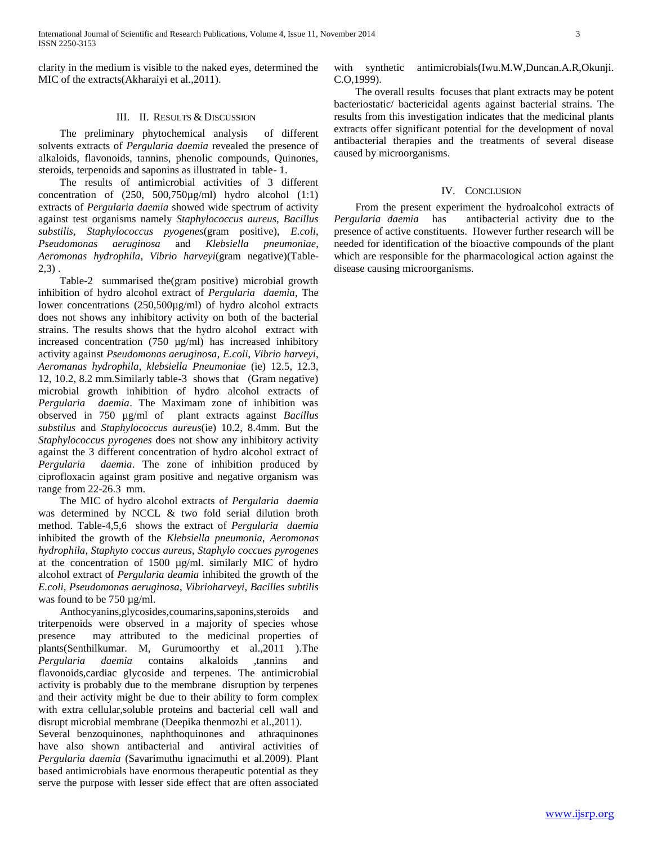clarity in the medium is visible to the naked eyes, determined the MIC of the extracts(Akharaiyi et al.,2011).

#### III. II. RESULTS & DISCUSSION

 The preliminary phytochemical analysis of different solvents extracts of *Pergularia daemia* revealed the presence of alkaloids, flavonoids, tannins, phenolic compounds, Quinones, steroids, terpenoids and saponins as illustrated in table- 1.

 The results of antimicrobial activities of 3 different concentration of (250, 500,750µg/ml) hydro alcohol (1:1) extracts of *Pergularia daemia* showed wide spectrum of activity against test organisms namely *Staphylococcus aureus, Bacillus substilis*, *Staphylococcus pyogenes*(gram positive), *E.coli*, *Pseudomonas aeruginosa* and *Klebsiella pneumoniae*, *Aeromonas hydrophila*, *Vibrio harveyi*(gram negative)(Table-2,3) .

 Table-2 summarised the(gram positive) microbial growth inhibition of hydro alcohol extract of *Pergularia daemia*, The lower concentrations (250,500µg/ml) of hydro alcohol extracts does not shows any inhibitory activity on both of the bacterial strains. The results shows that the hydro alcohol extract with increased concentration (750 µg/ml) has increased inhibitory activity against *Pseudomonas aeruginosa*, *E.coli*, *Vibrio harveyi*, *Aeromanas hydrophila*, *klebsiella Pneumoniae* (ie) 12.5, 12.3, 12, 10.2, 8.2 mm.Similarly table-3 shows that (Gram negative) microbial growth inhibition of hydro alcohol extracts of *Pergularia daemia*. The Maximam zone of inhibition was observed in 750 µg/ml of plant extracts against *Bacillus substilus* and *Staphylococcus aureus*(ie) 10.2, 8.4mm. But the *Staphylococcus pyrogenes* does not show any inhibitory activity against the 3 different concentration of hydro alcohol extract of *Pergularia daemia*. The zone of inhibition produced by ciprofloxacin against gram positive and negative organism was range from 22-26.3 mm.

 The MIC of hydro alcohol extracts of *Pergularia daemia*  was determined by NCCL & two fold serial dilution broth method. Table-4,5,6 shows the extract of *Pergularia daemia*  inhibited the growth of the *Klebsiella pneumonia*, *Aeromonas hydrophila*, *Staphyto coccus aureus*, *Staphylo coccues pyrogenes* at the concentration of 1500 µg/ml. similarly MIC of hydro alcohol extract of *Pergularia deamia* inhibited the growth of the *E.coli, Pseudomonas aeruginosa*, *Vibrioharveyi*, *Bacilles subtilis* was found to be 750  $\mu$ g/ml.

 Anthocyanins,glycosides,coumarins,saponins,steroids and triterpenoids were observed in a majority of species whose presence may attributed to the medicinal properties of plants(Senthilkumar. M, Gurumoorthy et al.,2011 ).The *Pergularia daemia* contains alkaloids ,tannins and flavonoids,cardiac glycoside and terpenes. The antimicrobial activity is probably due to the membrane disruption by terpenes and their activity might be due to their ability to form complex with extra cellular,soluble proteins and bacterial cell wall and disrupt microbial membrane (Deepika thenmozhi et al.,2011).

Several benzoquinones, naphthoquinones and athraquinones have also shown antibacterial and antiviral activities of *Pergularia daemia* (Savarimuthu ignacimuthi et al.2009). Plant based antimicrobials have enormous therapeutic potential as they serve the purpose with lesser side effect that are often associated with synthetic antimicrobials(Iwu.M.W,Duncan.A.R,Okunji. C.O,1999).

 The overall results focuses that plant extracts may be potent bacteriostatic/ bactericidal agents against bacterial strains. The results from this investigation indicates that the medicinal plants extracts offer significant potential for the development of noval antibacterial therapies and the treatments of several disease caused by microorganisms.

#### IV. CONCLUSION

 From the present experiment the hydroalcohol extracts of *Pergularia daemia*has antibacterial activity due to the presence of active constituents. However further research will be needed for identification of the bioactive compounds of the plant which are responsible for the pharmacological action against the disease causing microorganisms.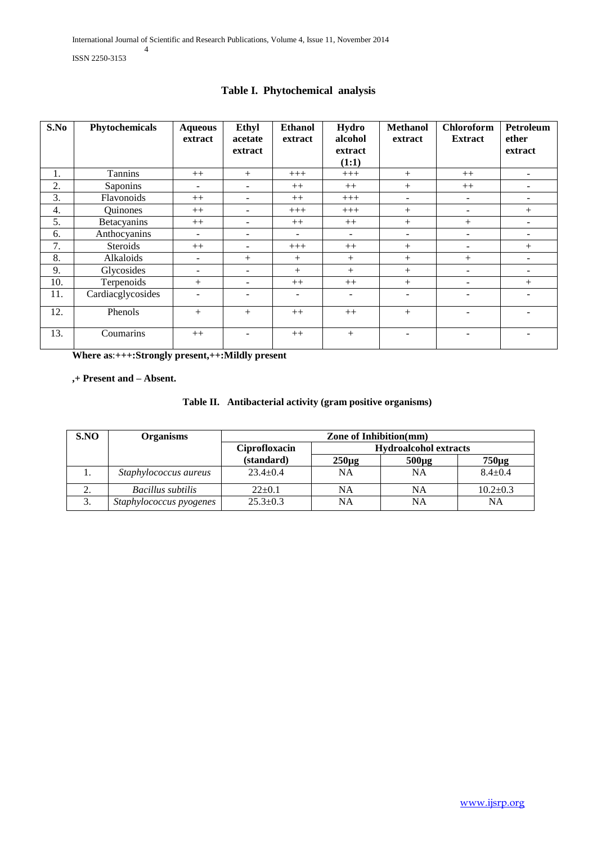| S.No | Phytochemicals    | <b>Aqueous</b><br>extract | Ethyl<br>acetate<br>extract | <b>Ethanol</b><br>extract | Hydro<br>alcohol<br>extract<br>(1:1) | <b>Methanol</b><br>extract | <b>Chloroform</b><br><b>Extract</b> | Petroleum<br>ether<br>extract |
|------|-------------------|---------------------------|-----------------------------|---------------------------|--------------------------------------|----------------------------|-------------------------------------|-------------------------------|
| 1.   | Tannins           | $++$                      | $+$                         | $+++$                     | $+++$                                | $^{+}$                     | $++$                                | $\overline{\phantom{a}}$      |
| 2.   | Saponins          | $\overline{\phantom{a}}$  | ۰                           | $++$                      | $++$                                 | $^{+}$                     | $++$                                | $\overline{\phantom{a}}$      |
| 3.   | Flavonoids        | $++$                      | -                           | $++$                      | $+++$                                | ۰                          |                                     | ۰                             |
| 4.   | Quinones          | $++$                      | -                           | $+++$                     | $+++$                                | $^{+}$                     |                                     | $+$                           |
| 5.   | Betacyanins       | $++$                      |                             | $++$                      | $++$                                 | $^{+}$                     | $+$                                 |                               |
| 6.   | Anthocyanins      | $\overline{\phantom{a}}$  | ۰                           | $\overline{\phantom{a}}$  | $\overline{\phantom{a}}$             | $\overline{\phantom{a}}$   |                                     | $\blacksquare$                |
| 7.   | Steroids          | $++$                      |                             | $+++$                     | $++$                                 | $^{+}$                     |                                     | $^{+}$                        |
| 8.   | Alkaloids         | ٠.                        | $^{+}$                      | $+$                       | $^{+}$                               | $^{+}$                     | $^{+}$                              | ۰                             |
| 9.   | Glycosides        | $\overline{\phantom{0}}$  | ۰                           | $+$                       | $+$                                  | $+$                        |                                     | ۰                             |
| 10.  | Terpenoids        | $+$                       | -                           | $++$                      | $++$                                 | $^{+}$                     |                                     | $+$                           |
| 11.  | Cardiacglycosides |                           |                             | ۰                         | ÷                                    |                            |                                     |                               |
| 12.  | Phenols           | $+$                       | $+$                         | $++$                      | $++$                                 | $+$                        |                                     |                               |
| 13.  | Coumarins         | $++$                      |                             | $++$                      | $+$                                  |                            |                                     |                               |

# **Table I. Phytochemical analysis**

**Where as**:**+++:Strongly present,++:Mildly present**

**,+ Present and – Absent.**

|  |  | Table II. Antibacterial activity (gram positive organisms) |
|--|--|------------------------------------------------------------|
|--|--|------------------------------------------------------------|

| S.NO             | Organisms               | <b>Zone of Inhibition(mm)</b>                 |            |            |                |
|------------------|-------------------------|-----------------------------------------------|------------|------------|----------------|
|                  |                         | <b>Hydroalcohol extracts</b><br>Ciprofloxacin |            |            |                |
|                  |                         | (standard)                                    | $250\mu g$ | $500\mu g$ | $750\mu g$     |
| 1.               | Staphylococcus aureus   | $23.4+0.4$                                    | NΑ         | <b>NA</b>  | $8.4 + 0.4$    |
| ۷.               | Bacillus subtilis       | $22 \pm 0.1$                                  | NA         | NA         | $10.2 \pm 0.3$ |
| $\bigcirc$<br>J. | Staphylococcus pyogenes | $25.3 \pm 0.3$                                | NΑ         | NA         | NA             |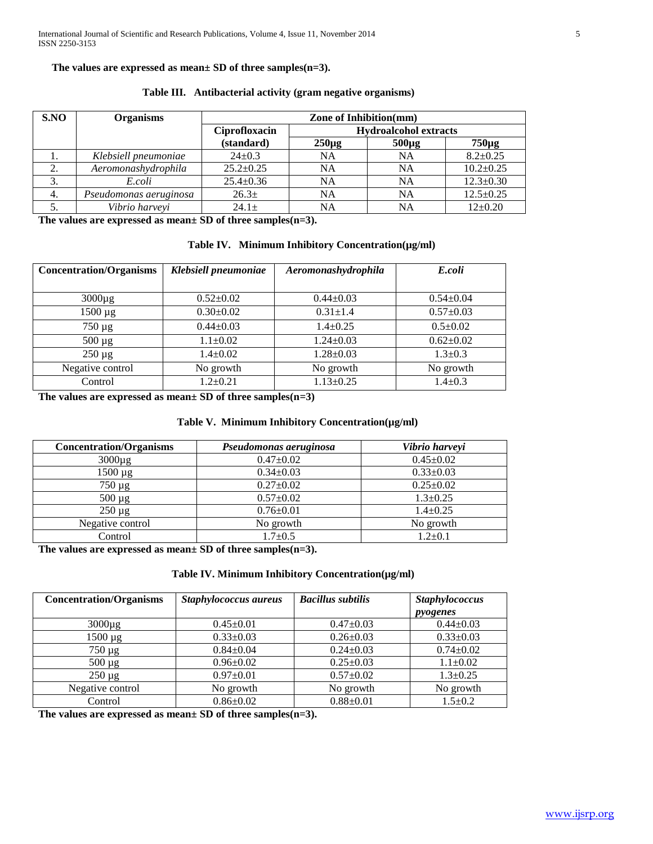**The values are expressed as mean± SD of three samples(n=3).** 

| S.NO | <b>Organisms</b>       | Zone of Inhibition(mm) |                              |            |                 |
|------|------------------------|------------------------|------------------------------|------------|-----------------|
|      |                        | Ciprofloxacin          | <b>Hydroalcohol extracts</b> |            |                 |
|      |                        | (standard)             | $250\mu g$                   | $500\mu g$ | $750\mu$ g      |
|      | Klebsiell pneumoniae   | $24+0.3$               | <b>NA</b>                    | <b>NA</b>  | $8.2 \pm 0.25$  |
|      | Aeromonashydrophila    | $25.2 \pm 0.25$        | <b>NA</b>                    | <b>NA</b>  | $10.2 \pm 0.25$ |
| 3.   | E.coli                 | $25.4 \pm 0.36$        | <b>NA</b>                    | <b>NA</b>  | $12.3 \pm 0.30$ |
| 4.   | Pseudomonas aeruginosa | 26.3 <sub>±</sub>      | NA                           | NA         | $12.5 \pm 0.25$ |
|      | Vibrio harveyi         | $24.1 \pm$             | NA                           | NA         | $12{\pm}0.20$   |

 **Table III. Antibacterial activity (gram negative organisms)** 

**The values are expressed as mean± SD of three samples(n=3).** 

|  |  | Table IV. Minimum Inhibitory Concentration(µg/ml) |
|--|--|---------------------------------------------------|
|--|--|---------------------------------------------------|

| <b>Concentration/Organisms</b> | Klebsiell pneumoniae | Aeromonashydrophila | E.coli          |
|--------------------------------|----------------------|---------------------|-----------------|
|                                |                      |                     |                 |
| $3000\mu g$                    | $0.52 \pm 0.02$      | $0.44 \pm 0.03$     | $0.54 \pm 0.04$ |
| $1500 \mu g$                   | $0.30 \pm 0.02$      | $0.31 \pm 1.4$      | $0.57 \pm 0.03$ |
| $750 \mu g$                    | $0.44 \pm 0.03$      | $1.4 \pm 0.25$      | $0.5 \pm 0.02$  |
| $500 \mu g$                    | $1.1 \pm 0.02$       | $1.24 \pm 0.03$     | $0.62 \pm 0.02$ |
| $250 \mu g$                    | $1.4 \pm 0.02$       | $1.28 \pm 0.03$     | $1.3 \pm 0.3$   |
| Negative control               | No growth            | No growth           | No growth       |
| Control                        | $1.2 \pm 0.21$       | $1.13 \pm 0.25$     | $1.4 \pm 0.3$   |

**The values are expressed as mean± SD of three samples(n=3)**

## **Table V. Minimum Inhibitory Concentration(µg/ml)**

| <b>Concentration/Organisms</b> | Pseudomonas aeruginosa | Vibrio harveyi  |
|--------------------------------|------------------------|-----------------|
| $3000\mu g$                    | $0.47 \pm 0.02$        | $0.45 \pm 0.02$ |
| $1500 \mu g$                   | $0.34 \pm 0.03$        | $0.33 \pm 0.03$ |
| $750 \mu g$                    | $0.27 \pm 0.02$        | $0.25 \pm 0.02$ |
| $500 \mu g$                    | $0.57 \pm 0.02$        | $1.3 \pm 0.25$  |
| $250 \mu g$                    | $0.76 \pm 0.01$        | $1.4 \pm 0.25$  |
| Negative control               | No growth              | No growth       |
| Control                        | $1.7 \pm 0.5$          | $1.2 \pm 0.1$   |

**The values are expressed as mean± SD of three samples(n=3).**

## **Table IV. Minimum Inhibitory Concentration(µg/ml)**

| <b>Concentration/Organisms</b> | Staphylococcus aureus | <b>Bacillus subtilis</b> | <b>Staphylococcus</b> |
|--------------------------------|-----------------------|--------------------------|-----------------------|
|                                |                       |                          | pyogenes              |
| $3000\mu$ g                    | $0.45 \pm 0.01$       | $0.47 \pm 0.03$          | $0.44 \pm 0.03$       |
| $1500 \mu g$                   | $0.33 \pm 0.03$       | $0.26 \pm 0.03$          | $0.33 \pm 0.03$       |
| 750 µg                         | $0.84 \pm 0.04$       | $0.24 \pm 0.03$          | $0.74 \pm 0.02$       |
| $500 \mu g$                    | $0.96 \pm 0.02$       | $0.25 \pm 0.03$          | $1.1 \pm 0.02$        |
| $250 \mu g$                    | $0.97 \pm 0.01$       | $0.57 \pm 0.02$          | $1.3 \pm 0.25$        |
| Negative control               | No growth             | No growth                | No growth             |
| Control                        | $0.86 \pm 0.02$       | $0.88 \pm 0.01$          | $1.5 \pm 0.2$         |

**The values are expressed as mean± SD of three samples(n=3).**